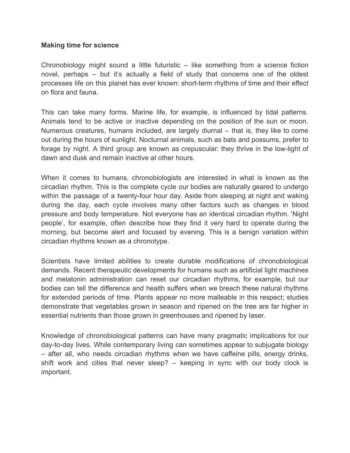## **Making time for science**

Chronobiology might sound a little futuristic – like something from a science fiction novel, perhaps – but it's actually a field of study that concerns one of the oldest processes life on this planet has ever known: short-term rhythms of time and their effect on flora and fauna.

This can take many forms. Marine life, for example, is influenced by tidal patterns. Animals tend to be active or inactive depending on the position of the sun or moon. Numerous creatures, humans included, are largely diurnal – that is, they like to come out during the hours of sunlight. Nocturnal animals, such as bats and possums, prefer to forage by night. A third group are known as crepuscular: they thrive in the low-light of dawn and dusk and remain inactive at other hours.

When it comes to humans, chronobiologists are interested in what is known as the circadian rhythm. This is the complete cycle our bodies are naturally geared to undergo within the passage of a twenty-four hour day. Aside from sleeping at night and waking during the day, each cycle involves many other factors such as changes in blood pressure and body temperature. Not everyone has an identical circadian rhythm. 'Night people', for example, often describe how they find it very hard to operate during the morning, but become alert and focused by evening. This is a benign variation within circadian rhythms known as a chronotype.

Scientists have limited abilities to create durable modifications of chronobiological demands. Recent therapeutic developments for humans such as artificial light machines and melatonin administration can reset our circadian rhythms, for example, but our bodies can tell the difference and health suffers when we breach these natural rhythms for extended periods of time. Plants appear no more malleable in this respect; studies demonstrate that vegetables grown in season and ripened on the tree are far higher in essential nutrients than those grown in greenhouses and ripened by laser.

Knowledge of chronobiological patterns can have many pragmatic implications for our day-to-day lives. While contemporary living can sometimes appear to subjugate biology – after all, who needs circadian rhythms when we have caffeine pills, energy drinks, shift work and cities that never sleep? – keeping in sync with our body clock is important.